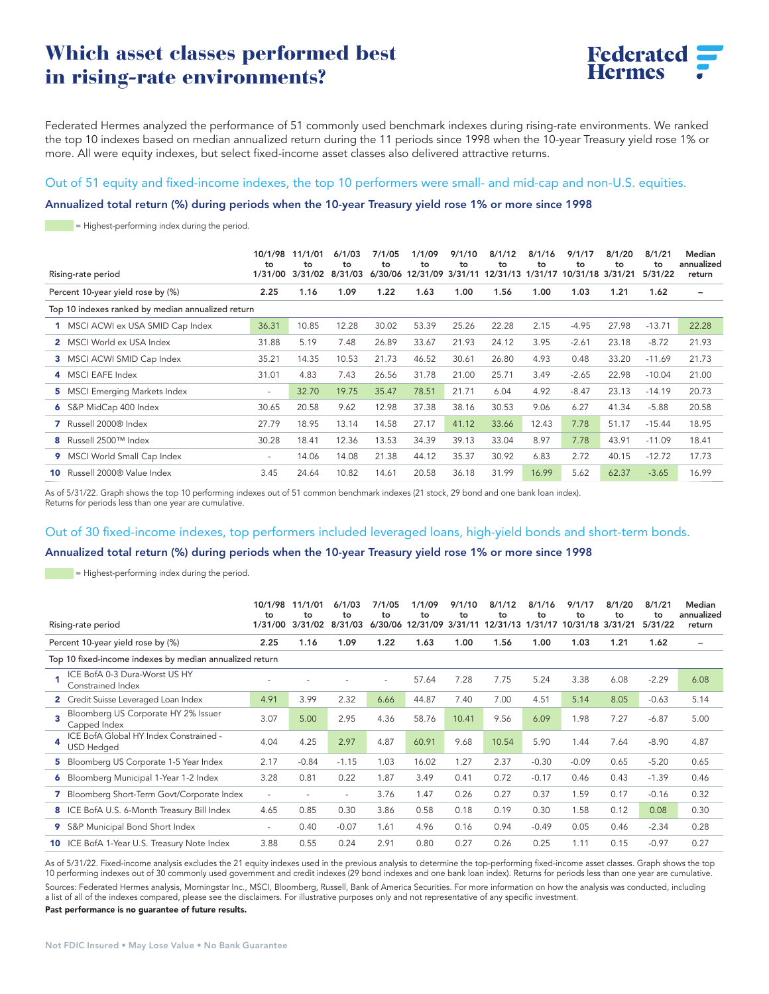# Which asset classes performed best in rising-rate environments?



Federated Hermes analyzed the performance of 51 commonly used benchmark indexes during rising-rate environments. We ranked the top 10 indexes based on median annualized return during the 11 periods since 1998 when the 10-year Treasury yield rose 1% or more. All were equity indexes, but select fixed-income asset classes also delivered attractive returns.

### Out of 51 equity and fixed-income indexes, the top 10 performers were small- and mid-cap and non-U.S. equities.

### Annualized total return (%) during periods when the 10-year Treasury yield rose 1% or more since 1998

 $=$  Highest-performing index during the period.

| Rising-rate period                |                                                   | 10/1/98<br>to<br>1/31/00 | 11/1/01<br>to<br>3/31/02 | 6/1/03<br>to<br>8/31/03 | 7/1/05<br>to<br>6/30/06 | 1/1/09<br>to<br>12/31/09 | 9/1/10<br>to<br>3/31/11 | 8/1/12<br>to<br>12/31/13 1/31/17 | 8/1/16<br>to | 9/1/17<br>to<br>10/31/18 3/31/21 | 8/1/20<br>to | 8/1/21<br>to<br>5/31/22 | Median<br>annualized<br>return |
|-----------------------------------|---------------------------------------------------|--------------------------|--------------------------|-------------------------|-------------------------|--------------------------|-------------------------|----------------------------------|--------------|----------------------------------|--------------|-------------------------|--------------------------------|
| Percent 10-year yield rose by (%) |                                                   | 2.25                     | 1.16                     | 1.09                    | 1.22                    | 1.63                     | 1.00                    | 1.56                             | 1.00         | 1.03                             | 1.21         | 1.62                    | $\overline{\phantom{0}}$       |
|                                   | Top 10 indexes ranked by median annualized return |                          |                          |                         |                         |                          |                         |                                  |              |                                  |              |                         |                                |
|                                   | 1 MSCI ACWI ex USA SMID Cap Index                 | 36.31                    | 10.85                    | 12.28                   | 30.02                   | 53.39                    | 25.26                   | 22.28                            | 2.15         | $-4.95$                          | 27.98        | $-13.71$                | 22.28                          |
|                                   | 2 MSCI World ex USA Index                         | 31.88                    | 5.19                     | 7.48                    | 26.89                   | 33.67                    | 21.93                   | 24.12                            | 3.95         | $-2.61$                          | 23.18        | $-8.72$                 | 21.93                          |
|                                   | 3 MSCI ACWI SMID Cap Index                        | 35.21                    | 14.35                    | 10.53                   | 21.73                   | 46.52                    | 30.61                   | 26.80                            | 4.93         | 0.48                             | 33.20        | $-11.69$                | 21.73                          |
|                                   | 4 MSCI EAFE Index                                 | 31.01                    | 4.83                     | 7.43                    | 26.56                   | 31.78                    | 21.00                   | 25.71                            | 3.49         | $-2.65$                          | 22.98        | $-10.04$                | 21.00                          |
|                                   | <b>5</b> MSCI Emerging Markets Index              | $\overline{\phantom{a}}$ | 32.70                    | 19.75                   | 35.47                   | 78.51                    | 21.71                   | 6.04                             | 4.92         | $-8.47$                          | 23.13        | $-14.19$                | 20.73                          |
| 6                                 | S&P MidCap 400 Index                              | 30.65                    | 20.58                    | 9.62                    | 12.98                   | 37.38                    | 38.16                   | 30.53                            | 9.06         | 6.27                             | 41.34        | $-5.88$                 | 20.58                          |
| 7                                 | Russell 2000® Index                               | 27.79                    | 18.95                    | 13.14                   | 14.58                   | 27.17                    | 41.12                   | 33.66                            | 12.43        | 7.78                             | 51.17        | $-15.44$                | 18.95                          |
| 8.                                | Russell 2500™ Index                               | 30.28                    | 18.41                    | 12.36                   | 13.53                   | 34.39                    | 39.13                   | 33.04                            | 8.97         | 7.78                             | 43.91        | $-11.09$                | 18.41                          |
|                                   | MSCI World Small Cap Index                        | $\overline{\phantom{a}}$ | 14.06                    | 14.08                   | 21.38                   | 44.12                    | 35.37                   | 30.92                            | 6.83         | 2.72                             | 40.15        | $-12.72$                | 17.73                          |
| 10.                               | Russell 2000® Value Index                         | 3.45                     | 24.64                    | 10.82                   | 14.61                   | 20.58                    | 36.18                   | 31.99                            | 16.99        | 5.62                             | 62.37        | $-3.65$                 | 16.99                          |

As of 5/31/22. Graph shows the top 10 performing indexes out of 51 common benchmark indexes (21 stock, 29 bond and one bank loan index). Returns for periods less than one year are cumulative.

## Out of 30 fixed-income indexes, top performers included leveraged loans, high-yield bonds and short-term bonds.

#### Annualized total return (%) during periods when the 10-year Treasury yield rose 1% or more since 1998

 $=$  Highest-performing index during the period.

| Rising-rate period<br>Percent 10-year yield rose by (%) |                                                             | 10/1/98<br>to<br>1/31/00 | 11/1/01<br>to<br>3/31/02 | 6/1/03<br>to<br>8/31/03 | 7/1/05<br>to | 1/1/09<br>to<br>6/30/06 12/31/09 | 9/1/10<br>to<br>3/31/11 | 8/1/12<br>to<br>12/31/13 | 8/1/16<br>to<br>1/31/17 | 9/1/17<br>to<br>10/31/18 | 8/1/20<br>to<br>3/31/21 | 8/1/21<br>to<br>5/31/22 | Median<br>annualized<br>return |
|---------------------------------------------------------|-------------------------------------------------------------|--------------------------|--------------------------|-------------------------|--------------|----------------------------------|-------------------------|--------------------------|-------------------------|--------------------------|-------------------------|-------------------------|--------------------------------|
|                                                         |                                                             | 2.25                     | 1.16                     | 1.09                    | 1.22         | 1.63                             | 1.00                    | 1.56                     | 1.00                    | 1.03                     | 1.21                    | 1.62                    |                                |
|                                                         | Top 10 fixed-income indexes by median annualized return     |                          |                          |                         |              |                                  |                         |                          |                         |                          |                         |                         |                                |
|                                                         | ICE BofA 0-3 Dura-Worst US HY<br>Constrained Index          |                          |                          |                         |              | 57.64                            | 7.28                    | 7.75                     | 5.24                    | 3.38                     | 6.08                    | $-2.29$                 | 6.08                           |
|                                                         | 2 Credit Suisse Leveraged Loan Index                        | 4.91                     | 3.99                     | 2.32                    | 6.66         | 44.87                            | 7.40                    | 7.00                     | 4.51                    | 5.14                     | 8.05                    | $-0.63$                 | 5.14                           |
| ä                                                       | Bloomberg US Corporate HY 2% Issuer<br>Capped Index         | 3.07                     | 5.00                     | 2.95                    | 4.36         | 58.76                            | 10.41                   | 9.56                     | 6.09                    | 1.98                     | 7.27                    | $-6.87$                 | 5.00                           |
| 4                                                       | ICE BofA Global HY Index Constrained -<br><b>USD Hedged</b> | 4.04                     | 4.25                     | 2.97                    | 4.87         | 60.91                            | 9.68                    | 10.54                    | 5.90                    | 1.44                     | 7.64                    | $-8.90$                 | 4.87                           |
| 5.                                                      | Bloomberg US Corporate 1-5 Year Index                       | 2.17                     | $-0.84$                  | $-1.15$                 | 1.03         | 16.02                            | 1.27                    | 2.37                     | $-0.30$                 | $-0.09$                  | 0.65                    | $-5.20$                 | 0.65                           |
|                                                         | 6 Bloomberg Municipal 1-Year 1-2 Index                      | 3.28                     | 0.81                     | 0.22                    | 1.87         | 3.49                             | 0.41                    | 0.72                     | $-0.17$                 | 0.46                     | 0.43                    | $-1.39$                 | 0.46                           |
| 7                                                       | Bloomberg Short-Term Govt/Corporate Index                   | $\overline{\phantom{a}}$ |                          | $\sim$                  | 3.76         | 1.47                             | 0.26                    | 0.27                     | 0.37                    | 1.59                     | 0.17                    | $-0.16$                 | 0.32                           |
|                                                         | 8 ICE BofA U.S. 6-Month Treasury Bill Index                 | 4.65                     | 0.85                     | 0.30                    | 3.86         | 0.58                             | 0.18                    | 0.19                     | 0.30                    | 1.58                     | 0.12                    | 0.08                    | 0.30                           |
| 9                                                       | S&P Municipal Bond Short Index                              | $\overline{\phantom{a}}$ | 0.40                     | $-0.07$                 | 1.61         | 4.96                             | 0.16                    | 0.94                     | $-0.49$                 | 0.05                     | 0.46                    | $-2.34$                 | 0.28                           |
|                                                         | <b>10</b> ICE BofA 1-Year U.S. Treasury Note Index          | 3.88                     | 0.55                     | 0.24                    | 2.91         | 0.80                             | 0.27                    | 0.26                     | 0.25                    | 1.11                     | 0.15                    | $-0.97$                 | 0.27                           |

As of 5/31/22. Fixed-income analysis excludes the 21 equity indexes used in the previous analysis to determine the top-performing fixed-income asset classes. Graph shows the top 10 performing indexes out of 30 commonly used government and credit indexes (29 bond indexes and one bank loan index). Returns for periods less than one year are cumulative.

Sources: Federated Hermes analysis, Morningstar Inc., MSCI, Bloomberg, Russell, Bank of America Securities. For more information on how the analysis was conducted, including a list of all of the indexes compared, please see the disclaimers. For illustrative purposes only and not representative of any specific investment.

Past performance is no guarantee of future results.